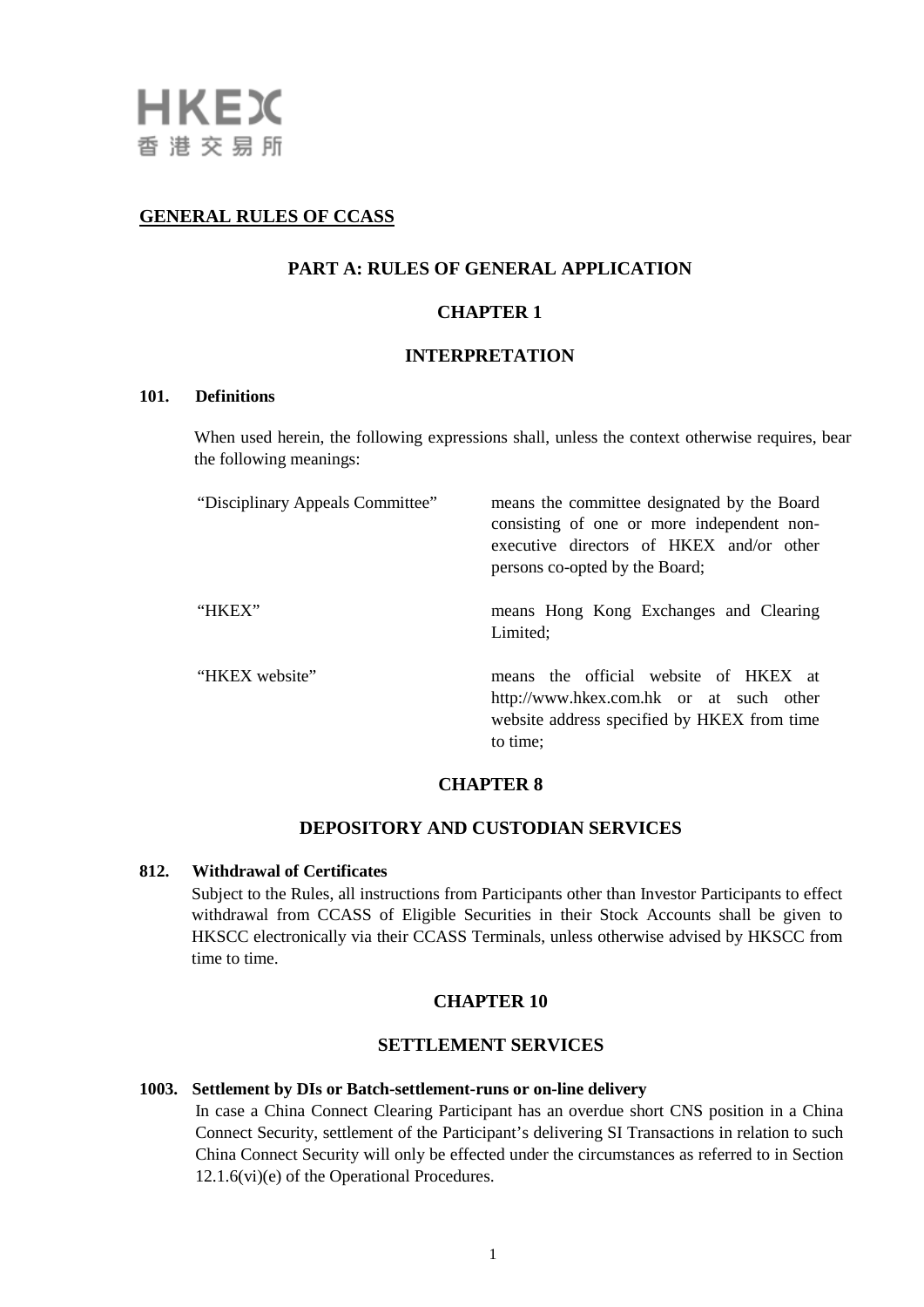# **GENERAL RULES OF CCASS**

## **PART A: RULES OF GENERAL APPLICATION**

## **CHAPTER 1**

## **INTERPRETATION**

#### **101. Definitions**

When used herein, the following expressions shall, unless the context otherwise requires, bear the following meanings:

| "Disciplinary Appeals Committee" | means the committee designated by the Board<br>consisting of one or more independent non-<br>executive directors of HKEX and/or other<br>persons co-opted by the Board; |
|----------------------------------|-------------------------------------------------------------------------------------------------------------------------------------------------------------------------|
| "HKEX"                           | means Hong Kong Exchanges and Clearing<br>Limited;                                                                                                                      |
| "HKEX website"                   | means the official website of HKEX at<br>http://www.hkex.com.hk or at such other<br>website address specified by HKEX from time<br>to time:                             |

## **CHAPTER 8**

## **DEPOSITORY AND CUSTODIAN SERVICES**

### **812. Withdrawal of Certificates**

Subject to the Rules, all instructions from Participants other than Investor Participants to effect withdrawal from CCASS of Eligible Securities in their Stock Accounts shall be given to HKSCC electronically via their CCASS Terminals, unless otherwise advised by HKSCC from time to time.

## **CHAPTER 10**

# **SETTLEMENT SERVICES**

### **1003. Settlement by DIs or Batch-settlement-runs or on-line delivery**

In case a China Connect Clearing Participant has an overdue short CNS position in a China Connect Security, settlement of the Participant's delivering SI Transactions in relation to such China Connect Security will only be effected under the circumstances as referred to in Section 12.1.6(vi)(e) of the Operational Procedures.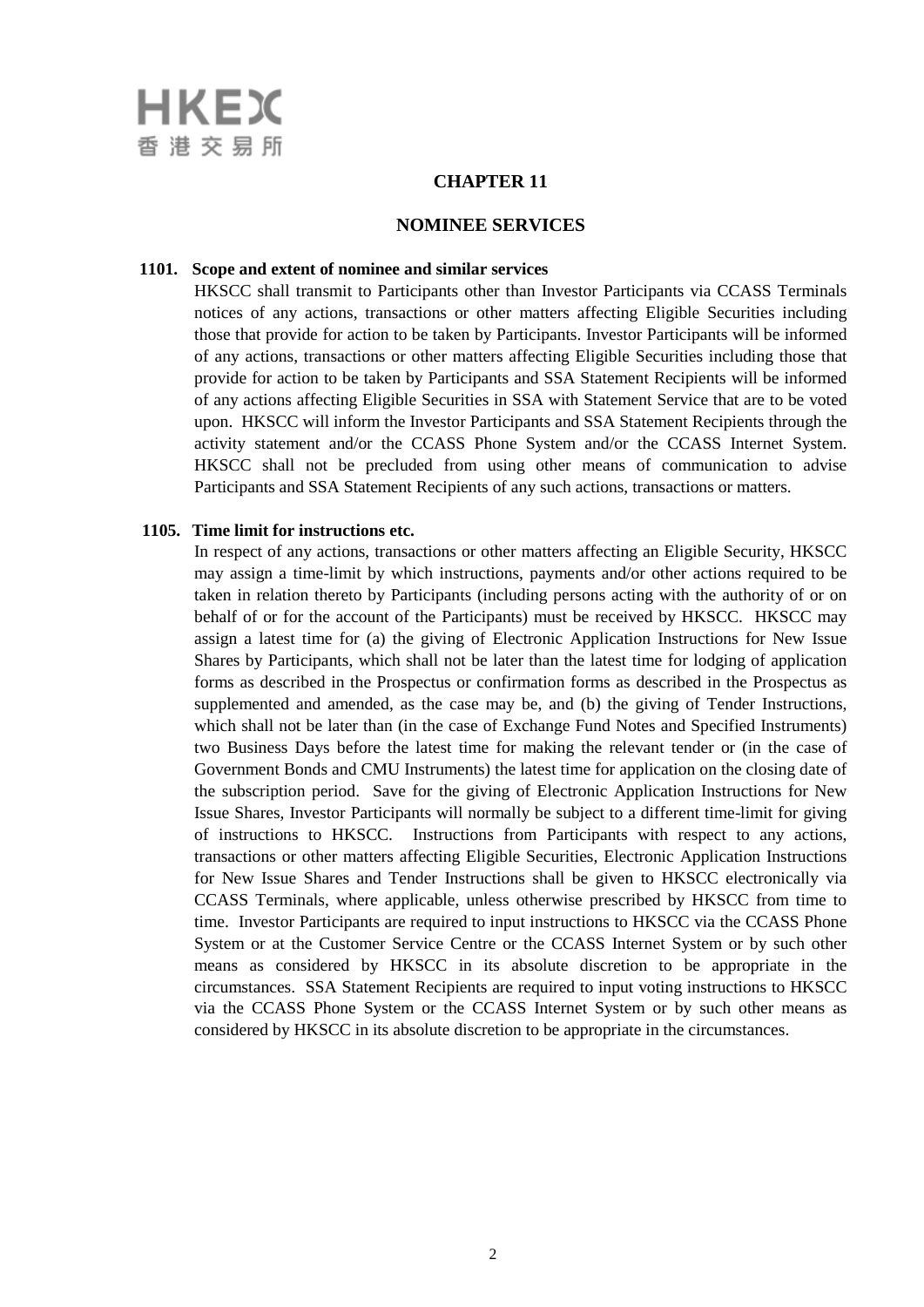

## **CHAPTER 11**

#### **NOMINEE SERVICES**

#### **1101. Scope and extent of nominee and similar services**

HKSCC shall transmit to Participants other than Investor Participants via CCASS Terminals notices of any actions, transactions or other matters affecting Eligible Securities including those that provide for action to be taken by Participants. Investor Participants will be informed of any actions, transactions or other matters affecting Eligible Securities including those that provide for action to be taken by Participants and SSA Statement Recipients will be informed of any actions affecting Eligible Securities in SSA with Statement Service that are to be voted upon. HKSCC will inform the Investor Participants and SSA Statement Recipients through the activity statement and/or the CCASS Phone System and/or the CCASS Internet System. HKSCC shall not be precluded from using other means of communication to advise Participants and SSA Statement Recipients of any such actions, transactions or matters.

#### **1105. Time limit for instructions etc.**

In respect of any actions, transactions or other matters affecting an Eligible Security, HKSCC may assign a time-limit by which instructions, payments and/or other actions required to be taken in relation thereto by Participants (including persons acting with the authority of or on behalf of or for the account of the Participants) must be received by HKSCC. HKSCC may assign a latest time for (a) the giving of Electronic Application Instructions for New Issue Shares by Participants, which shall not be later than the latest time for lodging of application forms as described in the Prospectus or confirmation forms as described in the Prospectus as supplemented and amended, as the case may be, and (b) the giving of Tender Instructions, which shall not be later than (in the case of Exchange Fund Notes and Specified Instruments) two Business Days before the latest time for making the relevant tender or (in the case of Government Bonds and CMU Instruments) the latest time for application on the closing date of the subscription period. Save for the giving of Electronic Application Instructions for New Issue Shares, Investor Participants will normally be subject to a different time-limit for giving of instructions to HKSCC. Instructions from Participants with respect to any actions, transactions or other matters affecting Eligible Securities, Electronic Application Instructions for New Issue Shares and Tender Instructions shall be given to HKSCC electronically via CCASS Terminals, where applicable, unless otherwise prescribed by HKSCC from time to time. Investor Participants are required to input instructions to HKSCC via the CCASS Phone System or at the Customer Service Centre or the CCASS Internet System or by such other means as considered by HKSCC in its absolute discretion to be appropriate in the circumstances. SSA Statement Recipients are required to input voting instructions to HKSCC via the CCASS Phone System or the CCASS Internet System or by such other means as considered by HKSCC in its absolute discretion to be appropriate in the circumstances.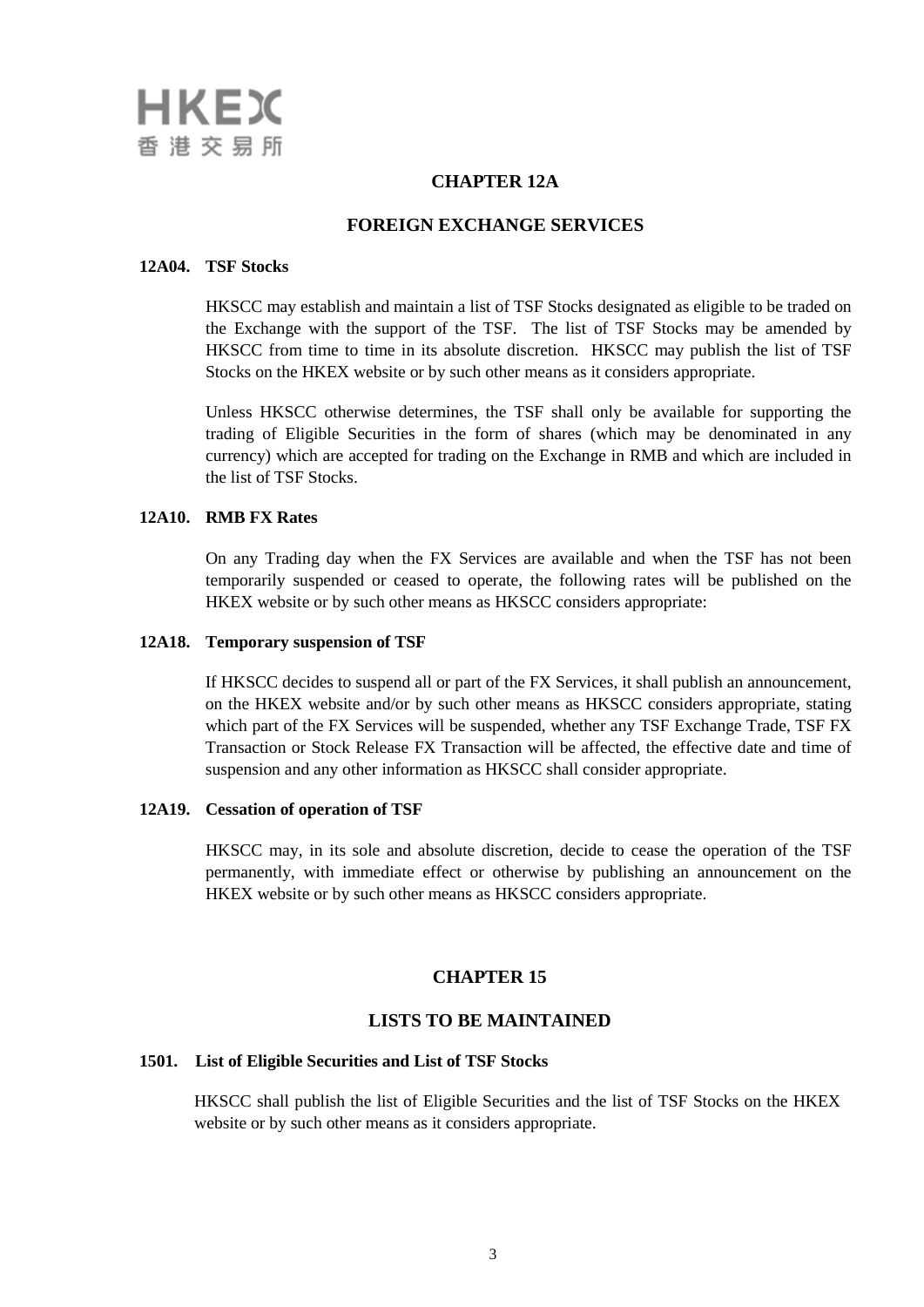# **CHAPTER 12A**

# **FOREIGN EXCHANGE SERVICES**

### **12A04. TSF Stocks**

HKSCC may establish and maintain a list of TSF Stocks designated as eligible to be traded on the Exchange with the support of the TSF. The list of TSF Stocks may be amended by HKSCC from time to time in its absolute discretion. HKSCC may publish the list of TSF Stocks on the HKEX website or by such other means as it considers appropriate.

Unless HKSCC otherwise determines, the TSF shall only be available for supporting the trading of Eligible Securities in the form of shares (which may be denominated in any currency) which are accepted for trading on the Exchange in RMB and which are included in the list of TSF Stocks.

### **12A10. RMB FX Rates**

On any Trading day when the FX Services are available and when the TSF has not been temporarily suspended or ceased to operate, the following rates will be published on the HKEX website or by such other means as HKSCC considers appropriate:

#### **12A18. Temporary suspension of TSF**

If HKSCC decides to suspend all or part of the FX Services, it shall publish an announcement, on the HKEX website and/or by such other means as HKSCC considers appropriate, stating which part of the FX Services will be suspended, whether any TSF Exchange Trade, TSF FX Transaction or Stock Release FX Transaction will be affected, the effective date and time of suspension and any other information as HKSCC shall consider appropriate.

### **12A19. Cessation of operation of TSF**

HKSCC may, in its sole and absolute discretion, decide to cease the operation of the TSF permanently, with immediate effect or otherwise by publishing an announcement on the HKEX website or by such other means as HKSCC considers appropriate.

## **CHAPTER 15**

### **LISTS TO BE MAINTAINED**

## **1501. List of Eligible Securities and List of TSF Stocks**

HKSCC shall publish the list of Eligible Securities and the list of TSF Stocks on the HKEX website or by such other means as it considers appropriate.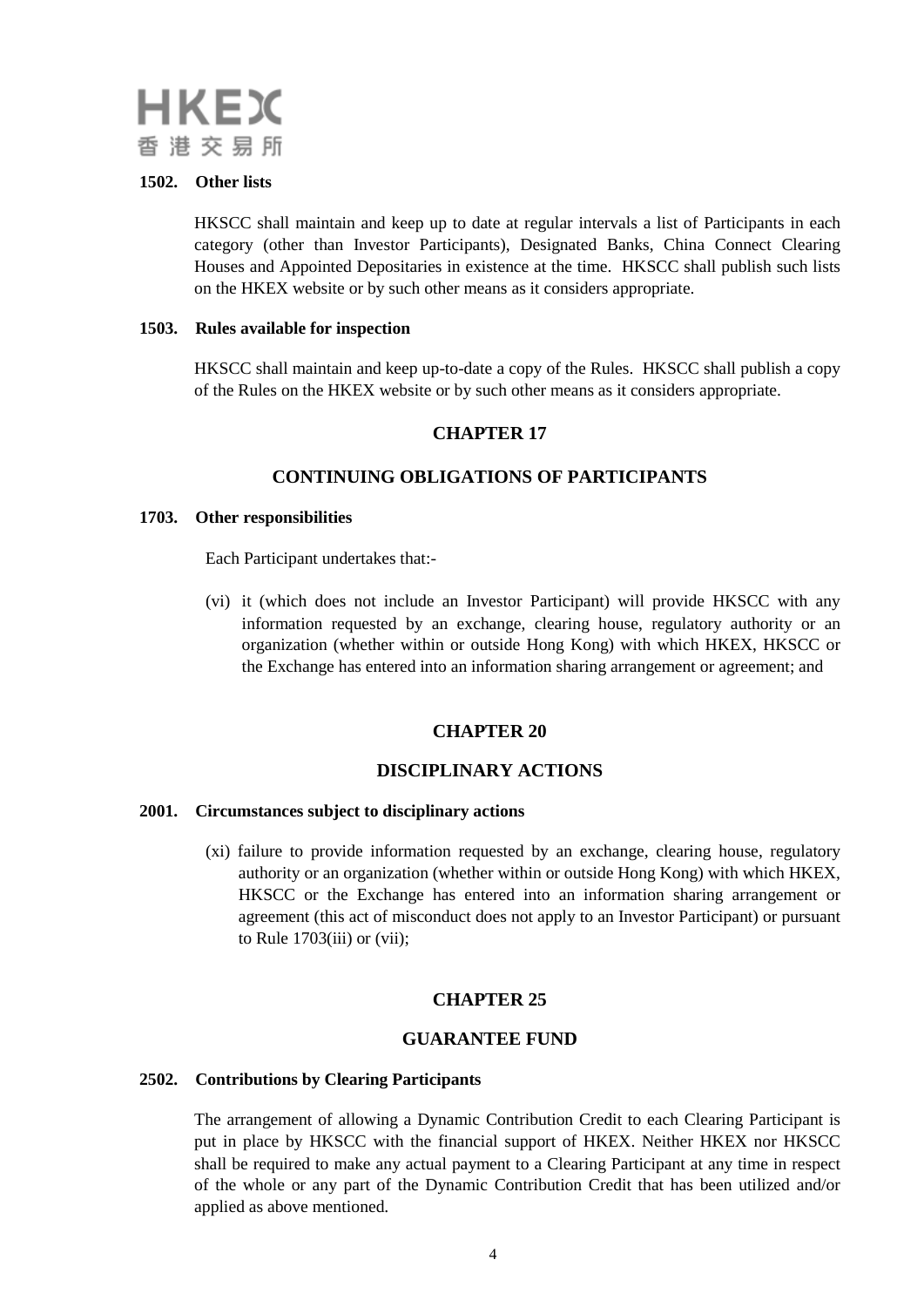

## **1502. Other lists**

HKSCC shall maintain and keep up to date at regular intervals a list of Participants in each category (other than Investor Participants), Designated Banks, China Connect Clearing Houses and Appointed Depositaries in existence at the time. HKSCC shall publish such lists on the HKEX website or by such other means as it considers appropriate.

#### **1503. Rules available for inspection**

HKSCC shall maintain and keep up-to-date a copy of the Rules. HKSCC shall publish a copy of the Rules on the HKEX website or by such other means as it considers appropriate.

# **CHAPTER 17**

## **CONTINUING OBLIGATIONS OF PARTICIPANTS**

#### **1703. Other responsibilities**

Each Participant undertakes that:-

(vi) it (which does not include an Investor Participant) will provide HKSCC with any information requested by an exchange, clearing house, regulatory authority or an organization (whether within or outside Hong Kong) with which HKEX, HKSCC or the Exchange has entered into an information sharing arrangement or agreement; and

## **CHAPTER 20**

## **DISCIPLINARY ACTIONS**

#### **2001. Circumstances subject to disciplinary actions**

(xi) failure to provide information requested by an exchange, clearing house, regulatory authority or an organization (whether within or outside Hong Kong) with which HKEX, HKSCC or the Exchange has entered into an information sharing arrangement or agreement (this act of misconduct does not apply to an Investor Participant) or pursuant to Rule 1703(iii) or (vii);

## **CHAPTER 25**

### **GUARANTEE FUND**

#### **2502. Contributions by Clearing Participants**

The arrangement of allowing a Dynamic Contribution Credit to each Clearing Participant is put in place by HKSCC with the financial support of HKEX. Neither HKEX nor HKSCC shall be required to make any actual payment to a Clearing Participant at any time in respect of the whole or any part of the Dynamic Contribution Credit that has been utilized and/or applied as above mentioned.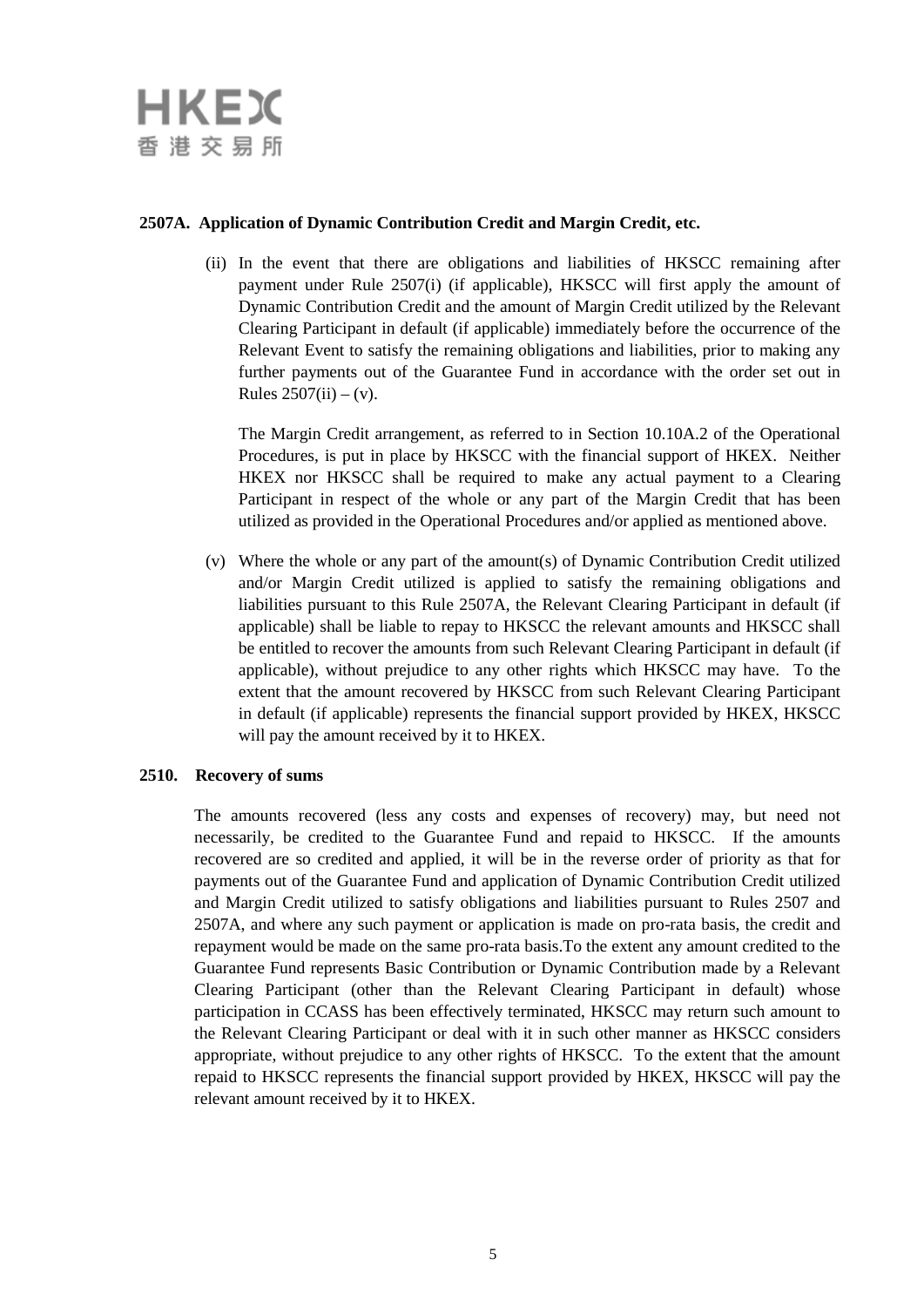## **2507A. Application of Dynamic Contribution Credit and Margin Credit, etc.**

(ii) In the event that there are obligations and liabilities of HKSCC remaining after payment under Rule 2507(i) (if applicable), HKSCC will first apply the amount of Dynamic Contribution Credit and the amount of Margin Credit utilized by the Relevant Clearing Participant in default (if applicable) immediately before the occurrence of the Relevant Event to satisfy the remaining obligations and liabilities, prior to making any further payments out of the Guarantee Fund in accordance with the order set out in Rules  $2507(ii) - (v)$ .

The Margin Credit arrangement, as referred to in Section 10.10A.2 of the Operational Procedures, is put in place by HKSCC with the financial support of HKEX. Neither HKEX nor HKSCC shall be required to make any actual payment to a Clearing Participant in respect of the whole or any part of the Margin Credit that has been utilized as provided in the Operational Procedures and/or applied as mentioned above.

(v) Where the whole or any part of the amount(s) of Dynamic Contribution Credit utilized and/or Margin Credit utilized is applied to satisfy the remaining obligations and liabilities pursuant to this Rule 2507A, the Relevant Clearing Participant in default (if applicable) shall be liable to repay to HKSCC the relevant amounts and HKSCC shall be entitled to recover the amounts from such Relevant Clearing Participant in default (if applicable), without prejudice to any other rights which HKSCC may have. To the extent that the amount recovered by HKSCC from such Relevant Clearing Participant in default (if applicable) represents the financial support provided by HKEX, HKSCC will pay the amount received by it to HKEX.

### **2510. Recovery of sums**

The amounts recovered (less any costs and expenses of recovery) may, but need not necessarily, be credited to the Guarantee Fund and repaid to HKSCC. If the amounts recovered are so credited and applied, it will be in the reverse order of priority as that for payments out of the Guarantee Fund and application of Dynamic Contribution Credit utilized and Margin Credit utilized to satisfy obligations and liabilities pursuant to Rules 2507 and 2507A, and where any such payment or application is made on pro-rata basis, the credit and repayment would be made on the same pro-rata basis.To the extent any amount credited to the Guarantee Fund represents Basic Contribution or Dynamic Contribution made by a Relevant Clearing Participant (other than the Relevant Clearing Participant in default) whose participation in CCASS has been effectively terminated, HKSCC may return such amount to the Relevant Clearing Participant or deal with it in such other manner as HKSCC considers appropriate, without prejudice to any other rights of HKSCC. To the extent that the amount repaid to HKSCC represents the financial support provided by HKEX, HKSCC will pay the relevant amount received by it to HKEX.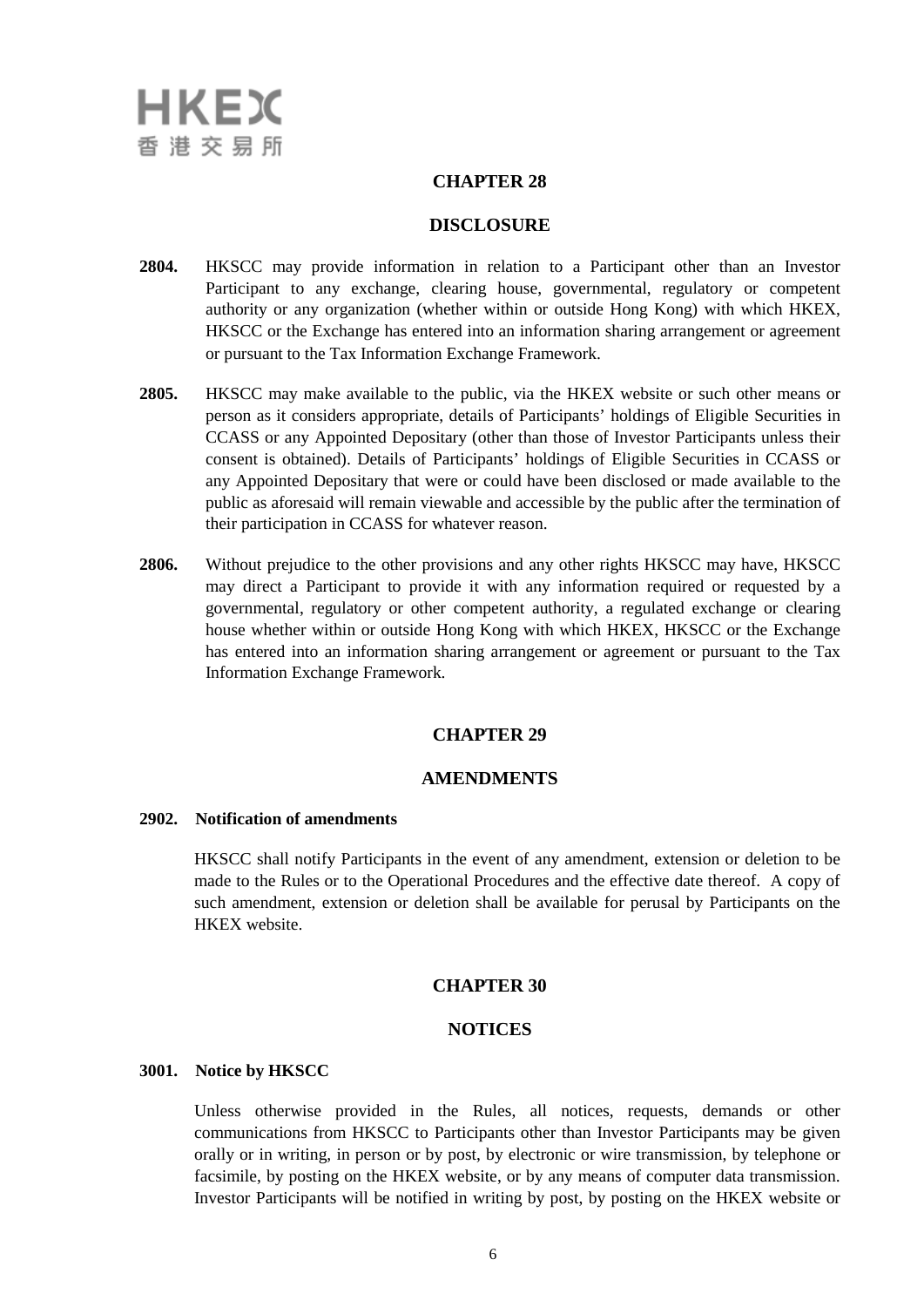## **CHAPTER 28**

### **DISCLOSURE**

- **2804.** HKSCC may provide information in relation to a Participant other than an Investor Participant to any exchange, clearing house, governmental, regulatory or competent authority or any organization (whether within or outside Hong Kong) with which HKEX, HKSCC or the Exchange has entered into an information sharing arrangement or agreement or pursuant to the Tax Information Exchange Framework.
- **2805.** HKSCC may make available to the public, via the HKEX website or such other means or person as it considers appropriate, details of Participants' holdings of Eligible Securities in CCASS or any Appointed Depositary (other than those of Investor Participants unless their consent is obtained). Details of Participants' holdings of Eligible Securities in CCASS or any Appointed Depositary that were or could have been disclosed or made available to the public as aforesaid will remain viewable and accessible by the public after the termination of their participation in CCASS for whatever reason.
- **2806.** Without prejudice to the other provisions and any other rights HKSCC may have, HKSCC may direct a Participant to provide it with any information required or requested by a governmental, regulatory or other competent authority, a regulated exchange or clearing house whether within or outside Hong Kong with which HKEX, HKSCC or the Exchange has entered into an information sharing arrangement or agreement or pursuant to the Tax Information Exchange Framework.

## **CHAPTER 29**

## **AMENDMENTS**

#### **2902. Notification of amendments**

HKSCC shall notify Participants in the event of any amendment, extension or deletion to be made to the Rules or to the Operational Procedures and the effective date thereof. A copy of such amendment, extension or deletion shall be available for perusal by Participants on the HKEX website.

#### **CHAPTER 30**

## **NOTICES**

#### **3001. Notice by HKSCC**

Unless otherwise provided in the Rules, all notices, requests, demands or other communications from HKSCC to Participants other than Investor Participants may be given orally or in writing, in person or by post, by electronic or wire transmission, by telephone or facsimile, by posting on the HKEX website, or by any means of computer data transmission. Investor Participants will be notified in writing by post, by posting on the HKEX website or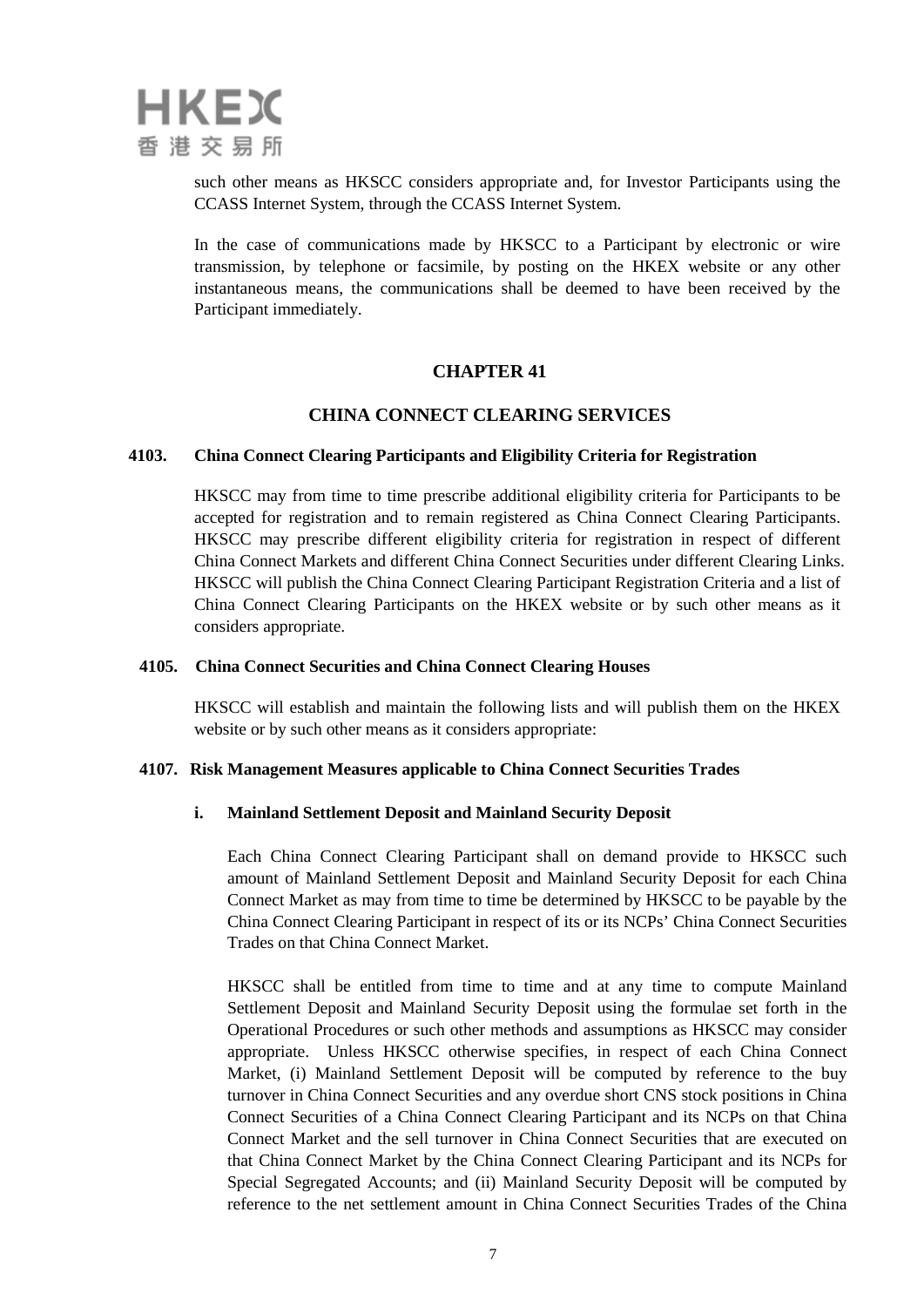

such other means as HKSCC considers appropriate and, for Investor Participants using the CCASS Internet System, through the CCASS Internet System.

In the case of communications made by HKSCC to a Participant by electronic or wire transmission, by telephone or facsimile, by posting on the HKEX website or any other instantaneous means, the communications shall be deemed to have been received by the Participant immediately.

# **CHAPTER 41**

# **CHINA CONNECT CLEARING SERVICES**

## **4103. China Connect Clearing Participants and Eligibility Criteria for Registration**

HKSCC may from time to time prescribe additional eligibility criteria for Participants to be accepted for registration and to remain registered as China Connect Clearing Participants. HKSCC may prescribe different eligibility criteria for registration in respect of different China Connect Markets and different China Connect Securities under different Clearing Links. HKSCC will publish the China Connect Clearing Participant Registration Criteria and a list of China Connect Clearing Participants on the HKEX website or by such other means as it considers appropriate.

### **4105. China Connect Securities and China Connect Clearing Houses**

HKSCC will establish and maintain the following lists and will publish them on the HKEX website or by such other means as it considers appropriate:

### **4107. Risk Management Measures applicable to China Connect Securities Trades**

## **i. Mainland Settlement Deposit and Mainland Security Deposit**

Each China Connect Clearing Participant shall on demand provide to HKSCC such amount of Mainland Settlement Deposit and Mainland Security Deposit for each China Connect Market as may from time to time be determined by HKSCC to be payable by the China Connect Clearing Participant in respect of its or its NCPs' China Connect Securities Trades on that China Connect Market.

HKSCC shall be entitled from time to time and at any time to compute Mainland Settlement Deposit and Mainland Security Deposit using the formulae set forth in the Operational Procedures or such other methods and assumptions as HKSCC may consider appropriate. Unless HKSCC otherwise specifies, in respect of each China Connect Market, (i) Mainland Settlement Deposit will be computed by reference to the buy turnover in China Connect Securities and any overdue short CNS stock positions in China Connect Securities of a China Connect Clearing Participant and its NCPs on that China Connect Market and the sell turnover in China Connect Securities that are executed on that China Connect Market by the China Connect Clearing Participant and its NCPs for Special Segregated Accounts; and (ii) Mainland Security Deposit will be computed by reference to the net settlement amount in China Connect Securities Trades of the China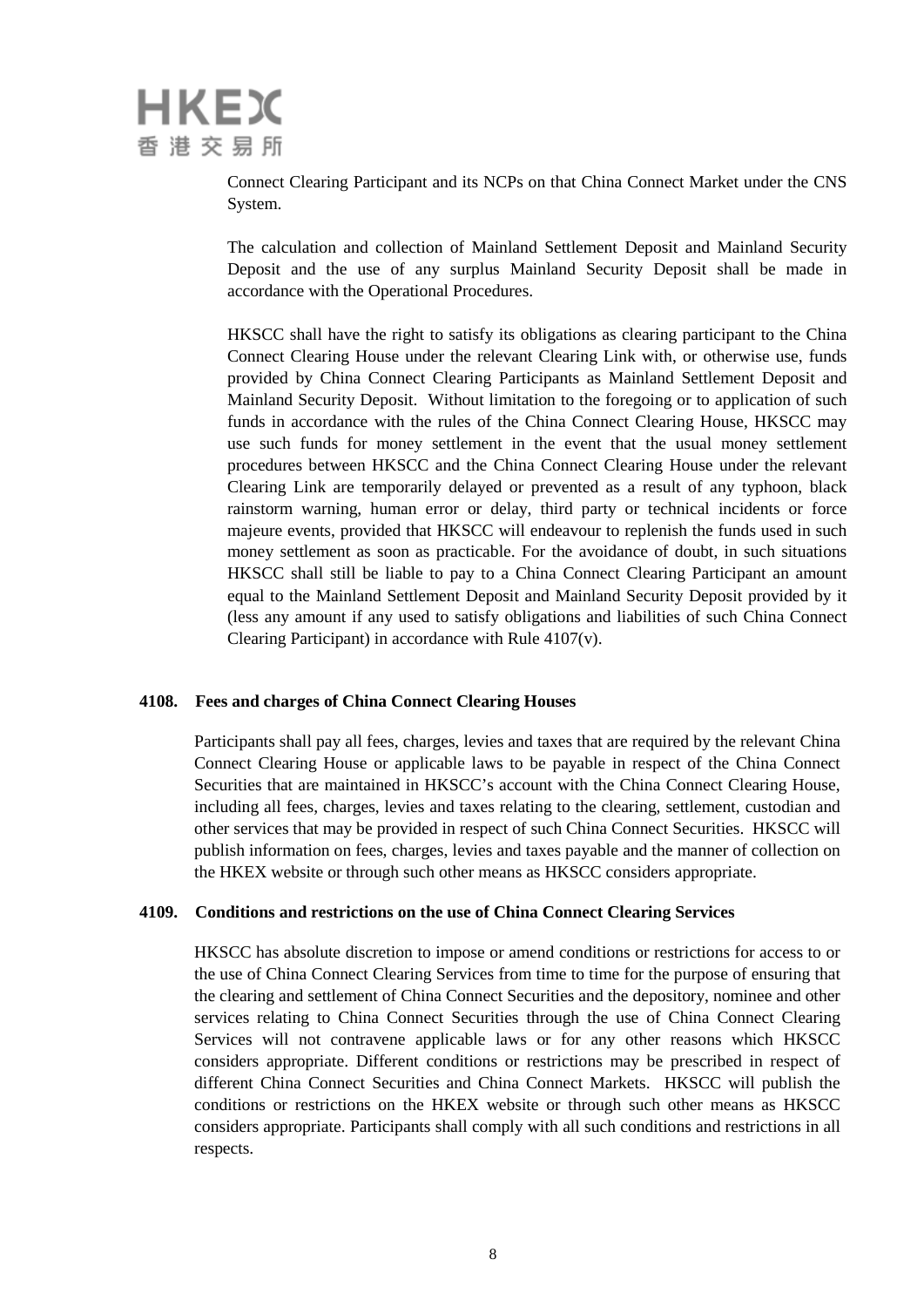Connect Clearing Participant and its NCPs on that China Connect Market under the CNS System.

The calculation and collection of Mainland Settlement Deposit and Mainland Security Deposit and the use of any surplus Mainland Security Deposit shall be made in accordance with the Operational Procedures.

HKSCC shall have the right to satisfy its obligations as clearing participant to the China Connect Clearing House under the relevant Clearing Link with, or otherwise use, funds provided by China Connect Clearing Participants as Mainland Settlement Deposit and Mainland Security Deposit. Without limitation to the foregoing or to application of such funds in accordance with the rules of the China Connect Clearing House, HKSCC may use such funds for money settlement in the event that the usual money settlement procedures between HKSCC and the China Connect Clearing House under the relevant Clearing Link are temporarily delayed or prevented as a result of any typhoon, black rainstorm warning, human error or delay, third party or technical incidents or force majeure events, provided that HKSCC will endeavour to replenish the funds used in such money settlement as soon as practicable. For the avoidance of doubt, in such situations HKSCC shall still be liable to pay to a China Connect Clearing Participant an amount equal to the Mainland Settlement Deposit and Mainland Security Deposit provided by it (less any amount if any used to satisfy obligations and liabilities of such China Connect Clearing Participant) in accordance with Rule 4107(v).

## **4108. Fees and charges of China Connect Clearing Houses**

Participants shall pay all fees, charges, levies and taxes that are required by the relevant China Connect Clearing House or applicable laws to be payable in respect of the China Connect Securities that are maintained in HKSCC's account with the China Connect Clearing House, including all fees, charges, levies and taxes relating to the clearing, settlement, custodian and other services that may be provided in respect of such China Connect Securities. HKSCC will publish information on fees, charges, levies and taxes payable and the manner of collection on the HKEX website or through such other means as HKSCC considers appropriate.

### **4109. Conditions and restrictions on the use of China Connect Clearing Services**

HKSCC has absolute discretion to impose or amend conditions or restrictions for access to or the use of China Connect Clearing Services from time to time for the purpose of ensuring that the clearing and settlement of China Connect Securities and the depository, nominee and other services relating to China Connect Securities through the use of China Connect Clearing Services will not contravene applicable laws or for any other reasons which HKSCC considers appropriate. Different conditions or restrictions may be prescribed in respect of different China Connect Securities and China Connect Markets. HKSCC will publish the conditions or restrictions on the HKEX website or through such other means as HKSCC considers appropriate. Participants shall comply with all such conditions and restrictions in all respects.